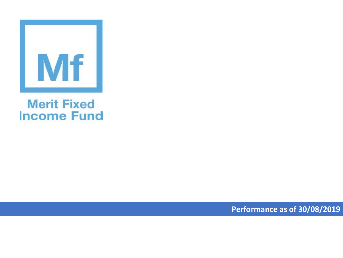

## **Merit Fixed Income Fund**

**Performance as of 30/08/2019**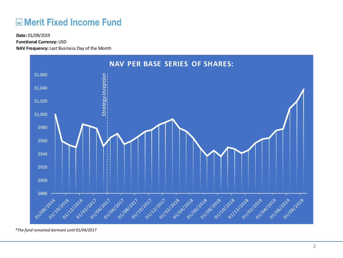## **ME Merit Fixed Income Fund**

**Functional Currency:** USD

**NAV Frequency:** Last Business Day of the Month